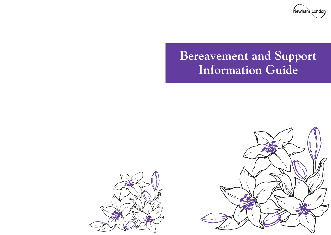

# **Bereavement and Support Information Guide**



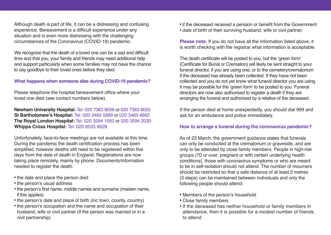Although death is part of life, it can be a distressing and confusing experience. Bereavement is a difficult experience under any situation and is even more distressing with the challenging circumstances of the Coronavirus (COVID-19) pandemic.

We recognise that the death of a loved one can be a sad and difficult time and that you, your family and friends may need additional help and support particularly when some families may not have the chance to say goodbye to their loved ones before they died.

## **What happens when someone dies during COVID-19 pandemic?**

Please telephone the hospital bereavement office where your loved one died (see contact numbers below).

**Newham University Hospital:** Tel: 020 7363 8056 or 020 7363 8055 **St Bartholomew's Hospital:** Tel: 020 3465 5889 or 020 3465 6892 **The Royal London Hospital:** Tel: 020 3594 1050 or 020 3594 2030 **Whipps Cross Hospital:** Tel: 020 8535 6628

Unfortunately, face-to-face meetings are not available at this time. During the pandemic the death certification process has been simplified, however deaths still need to be registered within five days from the date of death in England. Registrations are now taking place remotely, mainly by phone. Documents/information needed to register the death:

- the date and place the person died
- the person's usual address
- the person's first name, middle names and surname (maiden name, if this applies)
- the person's date and place of birth (inc town, county, country)
- the person's occupation and the name and occupation of their husband, wife or civil partner (if the person was married or in a civil partnership)

• if the deceased received a pension or benefit from the Government • date of birth of their surviving husband, wife or civil partner.

**Please note:** If you do not have all the information listed above, it is worth checking with the registrar what information is acceptable.

The death certificate will be posted to you, but the 'green form' (Certificate for Burial or Cremation) will likely be sent straight to your funeral director, if you are using one, or to the cemetery/crematorium if the deceased has already been collected. If they have not been collected and you do not yet know what funeral director you are using it may be possible for the 'green form' to be posted to you. Funeral directors are now also authorised to register a death if they are arranging the funeral and authorised by a relative of the deceased.

If the person died at home unexpectedly, you should dial 999 and ask for an ambulance and police immediately.

#### **How to arrange a funeral during the coronavirus pandemic?**

As of 23 March, the government guidance states that funerals can only be conducted at the crematorium or graveside, and are only to be attended by close family members. People in high-risk groups (70 or over, pregnant or with certain underlying health conditions), those with coronavirus symptoms or who are meant to be in self-isolation should not attend. The number of mourners should be restricted so that a safe distance of at least 2 metres (3 steps) can be maintained between individuals and only the following people should attend:

- Members of the person's household
- Close family members
- If the deceased has neither household or family members in attendance, then it is possible for a modest number of friends to attend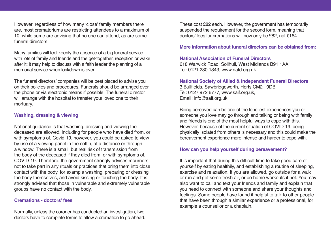However, regardless of how many 'close' family members there are, most crematoriums are restricting attendees to a maximum of 10, while some are advising that no one can attend, as are some funeral directors.

Many families will feel keenly the absence of a big funeral service with lots of family and friends and the get-together, reception or wake after it; it may help to discuss with a faith leader the planning of a memorial service when lockdown is over.

The funeral directors' companies will be best placed to advise you on their policies and procedures. Funerals should be arranged over the phone or via electronic means if possible. The funeral director will arrange with the hospital to transfer your loved one to their mortuary.

#### **Washing, dressing & viewing**

National guidance is that washing, dressing and viewing the deceased are allowed, including for people who have died from, or with symptoms of, Covid-19, however, you could be asked to view by use of a viewing panel in the coffin, at a distance or through a window. There is a small, but real risk of transmission from the body of the deceased if they died from, or with symptoms of, COVID-19. Therefore, the government strongly advises mourners not to take part in any rituals or practices that bring them into close contact with the body, for example washing, preparing or dressing the body themselves, and avoid kissing or touching the body. It is strongly advised that those in vulnerable and extremely vulnerable groups have no contact with the body.

#### **Cremations - doctors' fees**

Normally, unless the coroner has conducted an investigation, two doctors have to complete forms to allow a cremation to go ahead. These cost £82 each. However, the government has temporarily suspended the requirement for the second form, meaning that doctors' fees for cremations will now only be £82, not £164.

**More information about funeral directors can be obtained from:**

#### **National Association of Funeral Directors**

618 Warwick Road, Solihull, West Midlands B91 1AA Tel: 0121 230 1343, www.nafd.org.uk

**National Society of Allied & Independent Funeral Directors** 3 Bullfields, Sawbridgeworth, Herts CM21 9DB Tel: 0127 972 6777, www.saif.org.uk, Email: info@saif.org.uk

Being bereaved can be one of the loneliest experiences you or someone you love may go through and talking or being with family and friends is one of the most helpful ways to cope with this. However, because of the current situation of COVID-19, being physically isolated from others is necessary and this could make the bereavement experience more intense and harder to cope with.

#### **How can you help yourself during bereavement?**

It is important that during this difficult time to take good care of yourself by eating healthily, and establishing a routine of sleeping, exercise and relaxation. If you are allowed, go outside for a walk or run and get some fresh air, or do home workouts if not. You may also want to call and text your friends and family and explain that you need to connect with someone and share your thoughts and feelings. Some people have found it helpful to talk to other people that have been through a similar experience or a professional, for example a counsellor or a chaplain.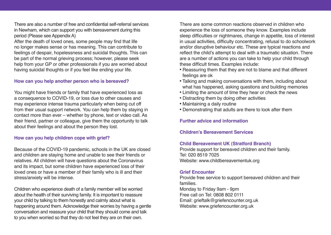There are also a number of free and confidential self-referral services in Newham, which can support you with bereavement during this period (Please see Appendix A)

After the death of loved ones, some people may find that life no longer makes sense or has meaning. This can contribute to feelings of despair, hopelessness and suicidal thoughts. This can be part of the normal grieving process; however, please seek help from your GP or other professionals if you are worried about having suicidal thoughts or if you feel like ending your life.

#### **How can you help another person who is bereaved?**

You might have friends or family that have experienced loss as a consequence to COVID-19, or loss due to other causes and may experience intense trauma particularly when being cut off from their usual support network. You can help them by staying in contact more than ever – whether by phone, text or video call. As their friend, partner or colleague, give them the opportunity to talk about their feelings and about the person they lost.

#### **How can you help children cope with grief?**

Because of the COVID-19 pandemic, schools in the UK are closed and children are staying home and unable to see their friends or relatives. All children will have questions about the Coronavirus and its impact, but some children have experienced loss of their loved ones or have a member of their family who is ill and their stress/anxiety will be intense.

Children who experience death of a family member will be worried about the health of their surviving family. It is important to reassure your child by talking to them honestly and calmly about what is happening around them. Acknowledge their worries by having a gentle conversation and reassure your child that they should come and talk to you when worried so that they do not feel they are on their own.

There are some common reactions observed in children who experience the loss of someone they know. Examples include sleep difficulties or nightmares, change in appetite, loss of interest in usual activities, difficulty concentrating, refusal to do schoolwork and/or disruptive behaviour etc. These are typical reactions and reflect the child's attempt to deal with a traumatic situation. There are a number of actions you can take to help your child through these difficult times. Examples include:

- Reassuring them that they are not to blame and that different feelings are ok
- Talking and making conversations with them, including about what has happened, asking questions and building memories
- Limiting the amount of time they hear or check the news
- Distracting them by doing other activities
- Maintaining a daily routine
- Demonstrating that adults are there to look after them

## **Further advice and information**

#### **Children's Bereavement Services**

#### **Child Bereavement UK (Stratford Branch)**

Provide support for bereaved children and their family. Tel: 020 8519 7025 Website: www.childbereavementuk.org

#### **Grief Encounter**

Provide free service to support bereaved children and their families. Monday to Friday 9am - 9pm Free call on Tel: 0808 802 0111 Email: grieftalk@griefencounter.org.uk Website: www.griefencounter.org.uk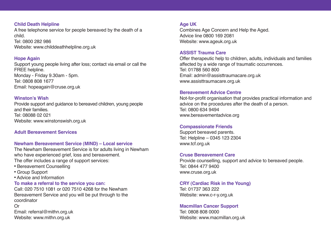#### **Child Death Helpline**

A free telephone service for people bereaved by the death of a child. Tel: 0800 282 986

Website: www.childdeathhelpline.org.uk

#### **Hope Again**

Support young people living after loss; contact via email or call the FREE helpline. Monday - Friday 9.30am - 5pm. Tel: 0808 808 1677 Email: hopeagain@cruse.org.uk

## **Winston's Wish**

Provide support and guidance to bereaved children, young people and their families. Tel: 08088 02 021 Website: www.winstonswish.org.uk

## **Adult Bereavement Services**

## **Newham Bereavement Service (MIND) – Local service**

The Newham Bereavement Service is for adults living in Newham who have experienced grief, loss and bereavement. The offer includes a range of support services:

- Bereavement Counselling
- Group Support
- Advice and Information
- **To make a referral to the service you can:**

Call: 020 7510 1081 or 020 7510 4268 for the Newham Bereavement Service and you will be put through to the coordinator

#### Or

Email: referral@mithn.org.uk Website: www.mithn.org.uk

## **Age UK**

Combines Age Concern and Help the Aged. Advice line 0800 169 2081 Website: www.ageuk.org.uk

## **ASSIST Trauma Care**

Offer therapeutic help to children, adults, individuals and families affected by a wide range of traumatic occurrences. Tel: 01788 560 800 Email: admin@assisttraumacare.org.uk www.assisttraumacare.org.uk

## **Bereavement Advice Centre**

Not-for-profit organisation that provides practical information and advice on the procedures after the death of a person. Tel: 0800 634 9494 www.bereavementadvice.org

## **Compassionate Friends**

Support bereaved parents. Tel: Helpline – 0345 123 2304 www.tcf.org.uk

## **Cruse Bereavement Care**

Provide counselling, support and advice to bereaved people. Tel: 0844 477 9400 www.cruse.org.uk

## **CRY (Cardiac Risk in the Young)**

Tel: 01737 363 222 Website: www.c-r-y.org.uk

## **Macmillan Cancer Support**

Tel: 0808 808 0000 Website: www.macmillan.org.uk